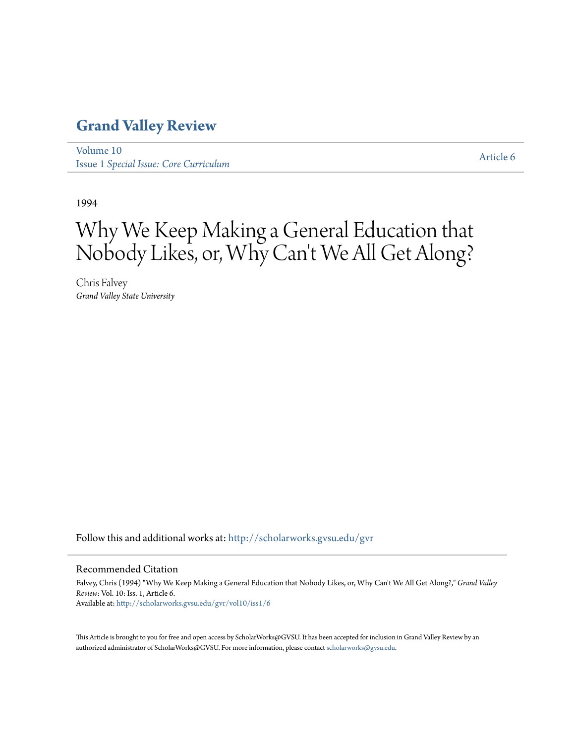## **[Grand Valley Review](http://scholarworks.gvsu.edu/gvr?utm_source=scholarworks.gvsu.edu%2Fgvr%2Fvol10%2Fiss1%2F6&utm_medium=PDF&utm_campaign=PDFCoverPages)**

[Volume 10](http://scholarworks.gvsu.edu/gvr/vol10?utm_source=scholarworks.gvsu.edu%2Fgvr%2Fvol10%2Fiss1%2F6&utm_medium=PDF&utm_campaign=PDFCoverPages) Issue 1 *[Special Issue: Core Curriculum](http://scholarworks.gvsu.edu/gvr/vol10/iss1?utm_source=scholarworks.gvsu.edu%2Fgvr%2Fvol10%2Fiss1%2F6&utm_medium=PDF&utm_campaign=PDFCoverPages)*

[Article 6](http://scholarworks.gvsu.edu/gvr/vol10/iss1/6?utm_source=scholarworks.gvsu.edu%2Fgvr%2Fvol10%2Fiss1%2F6&utm_medium=PDF&utm_campaign=PDFCoverPages)

1994

# Why We Keep Making a General Education that Nobody Likes, or, Why Can 't We All Get Along?

Chris Falvey *Grand Valley State University*

Follow this and additional works at: [http://scholarworks.gvsu.edu/gvr](http://scholarworks.gvsu.edu/gvr?utm_source=scholarworks.gvsu.edu%2Fgvr%2Fvol10%2Fiss1%2F6&utm_medium=PDF&utm_campaign=PDFCoverPages)

#### Recommended Citation

Falvey, Chris (1994) "Why We Keep Making a General Education that Nobody Likes, or, Why Can't We All Get Along?," *Grand Valley Review*: Vol. 10: Iss. 1, Article 6. Available at: [http://scholarworks.gvsu.edu/gvr/vol10/iss1/6](http://scholarworks.gvsu.edu/gvr/vol10/iss1/6?utm_source=scholarworks.gvsu.edu%2Fgvr%2Fvol10%2Fiss1%2F6&utm_medium=PDF&utm_campaign=PDFCoverPages)

This Article is brought to you for free and open access by ScholarWorks@GVSU. It has been accepted for inclusion in Grand Valley Review by an authorized administrator of ScholarWorks@GVSU. For more information, please contact [scholarworks@gvsu.edu.](mailto:scholarworks@gvsu.edu)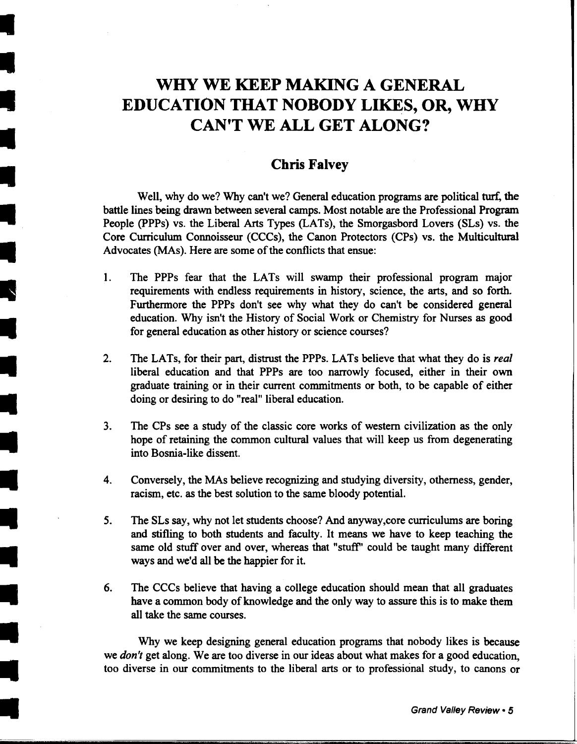## **WHY WE KEEP MAKING A GENERAL EDUCATION THAT NOBODY LIKES, OR, WHY CAN'T WE ALL GET ALONG?**

### **Chris Falvey**

Well, why do we? Why can't we? General education programs are political turf, the battle lines being drawn between several camps. Most notable are the Professional Program People (PPPs) vs. the Liberal Arts Types (LATs), the Smorgasbord Lovers (SLs) vs. the Core Curriculum Connoisseur (CCCs), the Canon Protectors (CPs) vs. the Multicultural Advocates (MAs). Here are some of the conflicts that ensue:

- 1. The PPPs fear that the LATs will swamp their professional program major requirements with endless requirements in history, science, the arts, and so forth. Furthermore the PPPs don't see why what they do can't be considered general education. Why isn't the History of Social Work or Chemistry for Nurses as good for general education as other history or science courses?
- 2. The LATs, for their part, distrust the PPPs. LATs believe that what they do is *real*  liberal education and that PPPs are too narrowly focused, either in their own graduate training or in their current commitments or both, to be capable of either doing or desiring to do "real" liberal education.
- 3. The CPs see a study of the classic core works of western civilization as the only hope of retaining the common cultural values that will keep us from degenerating into Bosnia-like dissent.
- 4. Conversely, the MAs believe recognizing and studying diversity, otherness, gender, racism, etc. as the best solution to the same bloody potential.
- 5. The SLs say, why not let students choose? And anyway,core curriculums are boring and stifling to both students and faculty. It means we have to keep teaching the same old stuff over and over, whereas that "stuff" could be taught many different ways and we'd all be the happier for it.
- 6. The CCCs believe that having a college education should mean that all graduates have a common body of knowledge and the only way to assure this is to make them all take the same courses .

Why we keep designing general education programs that nobody likes is because we *don't* get along. We are too diverse in our ideas about what makes for a good education, too diverse in our commitments to the liberal arts or to professional study, to canons or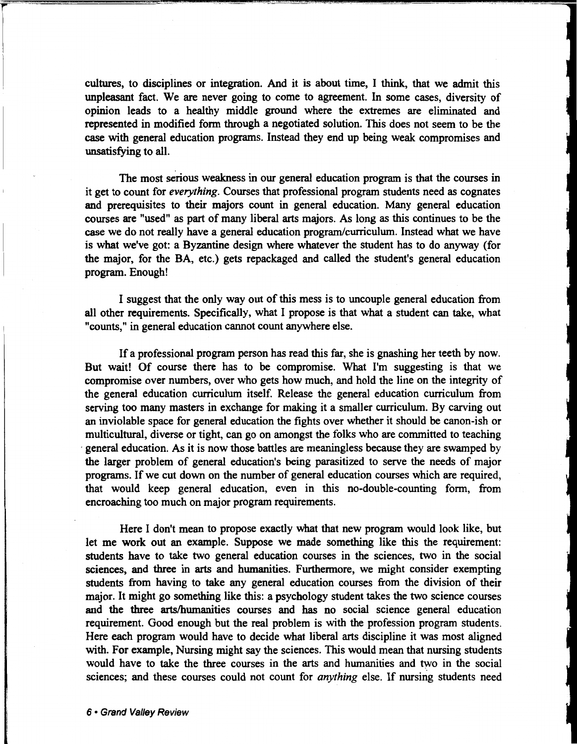cultmes, to disciplines or integration. And it is about time, I think, that we admit this unpleasant fact. We are never going to come to agreement. In some cases, diversity of opinion leads to a healthy middle ground where the extremes are eliminated and represented in modified form through a negotiated solution. This does not seem to be the case with general education programs. Instead they end up being weak compromises and unsatisfying to all.

The most serious weakness in our general education program is that the courses in it get to count for *everything.* Courses that professional program students need as cognates and prerequisites to their majors count in general education. Many general education courses are "used" as part of many liberal arts majors. As long as this continues to be the case we do not really have a general education program/curriculum. Instead what we have is what we've got: a Byzantine design where whatever the student has to do anyway (for the major, for the BA, etc.) gets repackaged and called the student's general education program. Enough!

I suggest that the only way out of this mess is to uncouple general education from all other requirements. Specifically, what I propose is that what a student can take, what "counts," in general education cannot count anywhere else.

If a professional program person has read this far, she is gnashing her teeth by now. But wait! Of course there has to be compromise. What I'm suggesting is that we compromise over numbers, over who gets how much, and hold the line on the integrity of the general education curriculum itself. Release the general education curriculum from serving too many masters in exchange for making it a smaller curriculum. By carving out an inviolable space for general education the fights over whether it should be canon-ish or multicultural, diverse or tight, can go on amongst the folks who are committed to teaching general education. As it is now those battles are meaningless because they are swamped by the larger problem of general education's being parasitized to serve the needs of major programs. If we cut down on the number of general education courses which are required, that would keep general education, even in this no-double-counting form, from encroaching too much on major program requirements.

Here I don't mean to propose exactly what that new program would look like, but let me work out an example. Suppose we made something like this the requirement: students have to take two general education courses in the sciences, two in the social sciences, and three in arts and humanities. Furthermore, we might consider exempting students from having to take any general education courses from the division of their major. It might go something like this: a psychology student takes the two science courses and the three arts/humanities courses and has no social science general education requirement. Good enough but the real problem is with the profession program students. Here each program would have to decide what liberal arts discipline it was most aligned with. For example, Nursing might say the sciences. This would mean that nursing students would have to take the three courses in the arts and humanities and two in the social sciences; and these courses could not count for *anything* else. If nursing students need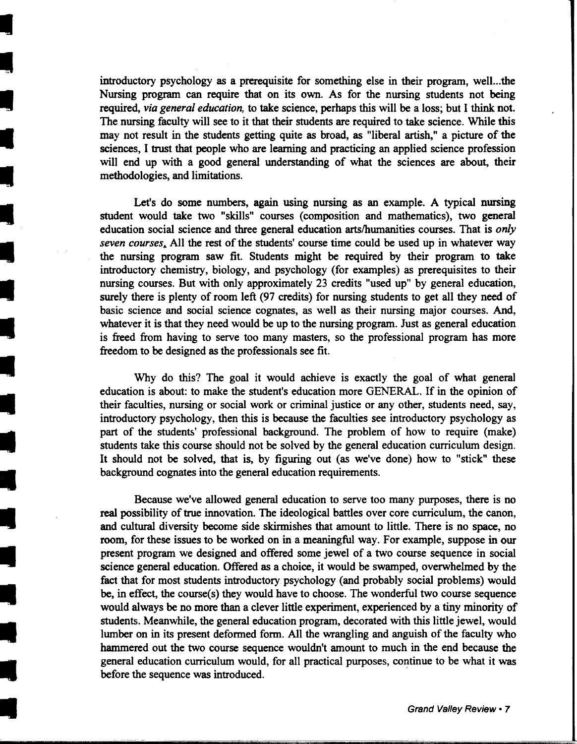introductory psychology as a prerequisite for something else in their program, well...the Nursing program can require that on its own. As for the nursing students not being required, *via general education,* to take science, perhaps this will be a loss; but I think not. The nursing faculty will see to it that their students are required to take science. While this may not result in the students getting quite as broad, as "liberal artish," a picture of the sciences, I trust that people who are learning and practicing an applied science profession will end up with a good general understanding of what the sciences are about, their methodologies, and limitations.

Let's do some numbers, again using nursing as an example. A typical nursing student would take two "skills" courses (composition and mathematics), two general education social science and three general education arts/humanities courses. That is *only seven courses.* All the rest of the students' course time could be used up in whatever way the nursing program saw fit. Students might be required by their program to take introductory chemistry, biology, and psychology (for examples) as prerequisites to their nursing courses. But with only approximately 23 credits "used up" by general education, surely there is plenty of room left (97 credits) for nursing students to get all they need of basic science and social science cognates, as well as their nursing major courses. And, whatever it is that they need would be up to the nursing program. Just as general education is freed from having to serve too many masters, so the professional program has more freedom to be designed as the professionals see fit.

Why do this? The goal it would achieve is exactly the goal of what general education is about: to make the student's education more GENERAL. If in the opinion of their faculties, nursing or social work or criminal justice or any other, students need, say, introductory psychology, then this is because the faculties see introductory psychology as part of the students' professional background. The problem of how to require (make) students take this course should not be solved by the general education curriculum design. It should not be solved, that is, by figuring out (as we've done) how to "stick" these background cognates into the general education requirements .

Because we've allowed general education to serve too many purposes, there is no real possibility of true innovation. The ideological battles over core curriculum, the canon, and cultural diversity become side skirmishes that amount to little. There is no space, no room, for these issues to be worked on in a meaningful way. For example, suppose in our present program we designed and offered some jewel of a two course sequence in social science general education. Offered as a choice, it would be swamped, overwhelmed by the fact that for most students introductory psychology (and probably social problems) would be, in effect, the course(s) they would have to choose. The wonderful two course sequence would always be no more than a clever little experiment, experienced by a tiny minority of students. Meanwhile, the general education program, decorated with this little jewel, would lumber on in its present deformed form. All the wrangling and anguish of the faculty who hammered out the two course sequence wouldn't amount to much in the end because the general education curriculum would, for all practical purposes, continue to be what it was before the sequence was introduced.